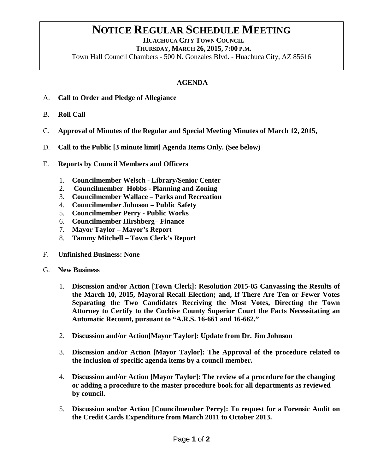## **NOTICE REGULAR SCHEDULE MEETING**<br>HUACHUCA CITY TOWN COUNCIL

 **THURSDAY, MARCH 26, 2015, 7:00 P.M.**

Town Hall Council Chambers - 500 N. Gonzales Blvd. - Huachuca City, AZ 85616

## **AGENDA**

- A. **Call to Order and Pledge of Allegiance**
- B. **Roll Call**
- C. **Approval of Minutes of the Regular and Special Meeting Minutes of March 12, 2015,**
- D. **Call to the Public [3 minute limit] Agenda Items Only. (See below)**
- E. **Reports by Council Members and Officers**
	- 1. **Councilmember Welsch - Library/Senior Center**
	- 2. **Councilmember Hobbs - Planning and Zoning**
	- 3. **Councilmember Wallace – Parks and Recreation**
	- 4. **Councilmember Johnson – Public Safety**
	- 5. **Councilmember Perry - Public Works**
	- 6. **Councilmember Hirshberg– Finance**
	- 7. **Mayor Taylor – Mayor's Report**
	- 8. **Tammy Mitchell – Town Clerk's Report**
- F. **Unfinished Business: None**
- G. **New Business**
	- 1. **Discussion and/or Action [Town Clerk]: Resolution 2015-05 Canvassing the Results of the March 10, 2015, Mayoral Recall Election; and, If There Are Ten or Fewer Votes Separating the Two Candidates Receiving the Most Votes, Directing the Town Attorney to Certify to the Cochise County Superior Court the Facts Necessitating an Automatic Recount, pursuant to "A.R.S. 16-661 and 16-662."**
	- 2. **Discussion and/or Action[Mayor Taylor]: Update from Dr. Jim Johnson**
	- 3. **Discussion and/or Action [Mayor Taylor]: The Approval of the procedure related to the inclusion of specific agenda items by a council member.**
	- 4. **Discussion and/or Action [Mayor Taylor]: The review of a procedure for the changing or adding a procedure to the master procedure book for all departments as reviewed by council.**
	- 5. **Discussion and/or Action [Councilmember Perry]: To request for a Forensic Audit on the Credit Cards Expenditure from March 2011 to October 2013.**